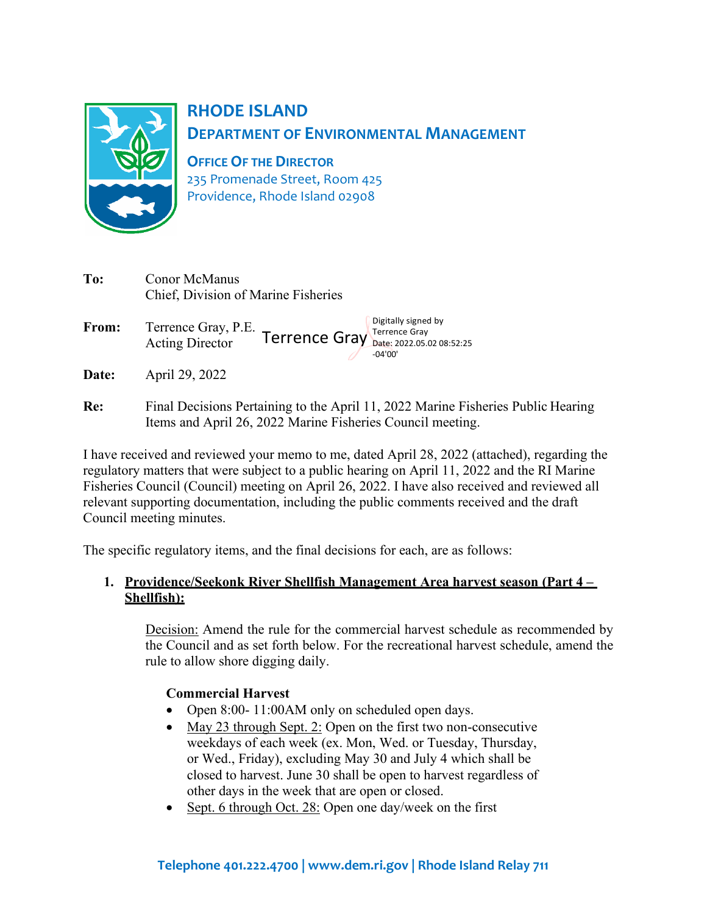

# **RHODE ISLAND DEPARTMENT OF ENVIRONMENTAL MANAGEMENT**

**OFFICE OF THE DIRECTOR** 235 Promenade Street, Room 425 Providence, Rhode Island 02908

| To:   | Conor McManus<br>Chief, Division of Marine Fisheries                                                                                           |
|-------|------------------------------------------------------------------------------------------------------------------------------------------------|
| From: | Digitally signed by<br>Terrence Gray, P.E. Terrence Gray Terrence Gray<br>$-04'00'$                                                            |
| Date: | April 29, 2022                                                                                                                                 |
| Re:   | Final Decisions Pertaining to the April 11, 2022 Marine Fisheries Public Hearing<br>Items and April 26, 2022 Marine Fisheries Council meeting. |

I have received and reviewed your memo to me, dated April 28, 2022 (attached), regarding the regulatory matters that were subject to a public hearing on April 11, 2022 and the RI Marine Fisheries Council (Council) meeting on April 26, 2022. I have also received and reviewed all relevant supporting documentation, including the public comments received and the draft Council meeting minutes.

The specific regulatory items, and the final decisions for each, are as follows:

## **1. Providence/Seekonk River Shellfish Management Area harvest season (Part 4 – Shellfish):**

Decision: Amend the rule for the commercial harvest schedule as recommended by the Council and as set forth below. For the recreational harvest schedule, amend the rule to allow shore digging daily.

## **Commercial Harvest**

- Open 8:00- 11:00 AM only on scheduled open days.
- May 23 through Sept. 2: Open on the first two non-consecutive weekdays of each week (ex. Mon, Wed. or Tuesday, Thursday, or Wed., Friday), excluding May 30 and July 4 which shall be closed to harvest. June 30 shall be open to harvest regardless of other days in the week that are open or closed.
- Sept. 6 through Oct. 28: Open one day/week on the first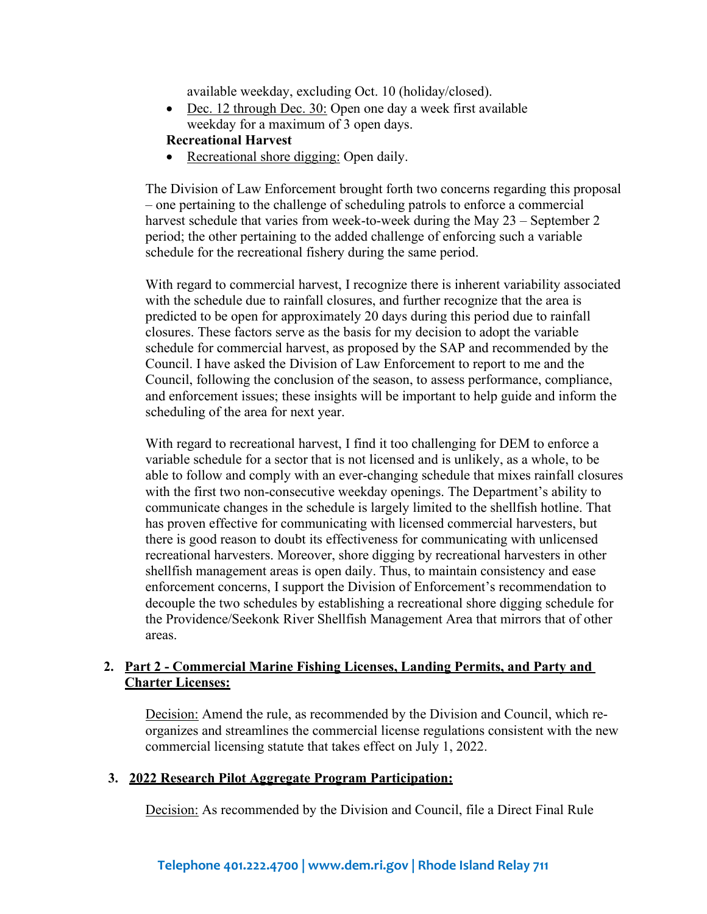available weekday, excluding Oct. 10 (holiday/closed).

• Dec. 12 through Dec. 30: Open one day a week first available weekday for a maximum of 3 open days.

# **Recreational Harvest**

• Recreational shore digging: Open daily.

The Division of Law Enforcement brought forth two concerns regarding this proposal – one pertaining to the challenge of scheduling patrols to enforce a commercial harvest schedule that varies from week-to-week during the May 23 – September 2 period; the other pertaining to the added challenge of enforcing such a variable schedule for the recreational fishery during the same period.

With regard to commercial harvest, I recognize there is inherent variability associated with the schedule due to rainfall closures, and further recognize that the area is predicted to be open for approximately 20 days during this period due to rainfall closures. These factors serve as the basis for my decision to adopt the variable schedule for commercial harvest, as proposed by the SAP and recommended by the Council. I have asked the Division of Law Enforcement to report to me and the Council, following the conclusion of the season, to assess performance, compliance, and enforcement issues; these insights will be important to help guide and inform the scheduling of the area for next year.

With regard to recreational harvest, I find it too challenging for DEM to enforce a variable schedule for a sector that is not licensed and is unlikely, as a whole, to be able to follow and comply with an ever-changing schedule that mixes rainfall closures with the first two non-consecutive weekday openings. The Department's ability to communicate changes in the schedule is largely limited to the shellfish hotline. That has proven effective for communicating with licensed commercial harvesters, but there is good reason to doubt its effectiveness for communicating with unlicensed recreational harvesters. Moreover, shore digging by recreational harvesters in other shellfish management areas is open daily. Thus, to maintain consistency and ease enforcement concerns, I support the Division of Enforcement's recommendation to decouple the two schedules by establishing a recreational shore digging schedule for the Providence/Seekonk River Shellfish Management Area that mirrors that of other areas.

### **2. Part 2 - Commercial Marine Fishing Licenses, Landing Permits, and Party and Charter Licenses:**

Decision: Amend the rule, as recommended by the Division and Council, which reorganizes and streamlines the commercial license regulations consistent with the new commercial licensing statute that takes effect on July 1, 2022.

#### **3. 2022 Research Pilot Aggregate Program Participation:**

Decision: As recommended by the Division and Council, file a Direct Final Rule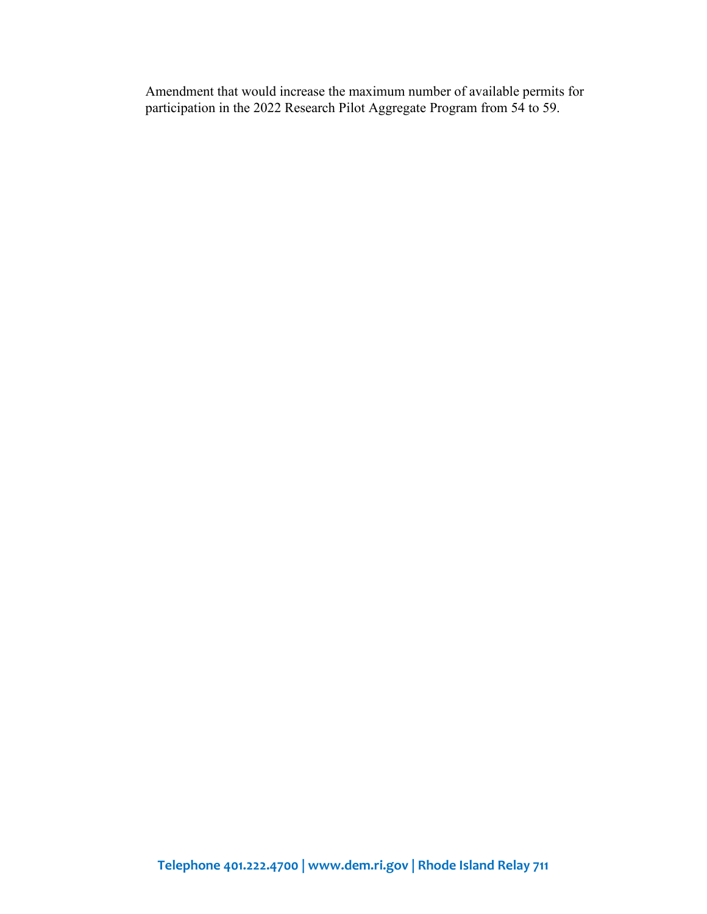Amendment that would increase the maximum number of available permits for participation in the 2022 Research Pilot Aggregate Program from 54 to 59.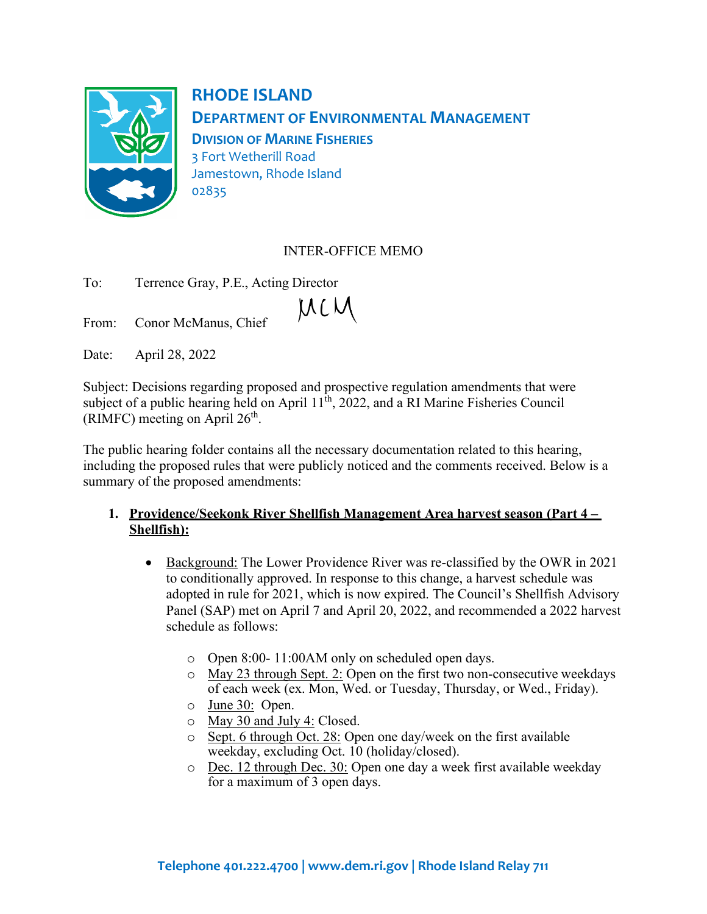

**RHODE ISLAND DEPARTMENT OF ENVIRONMENTAL MANAGEMENT DIVISION OF MARINE FISHERIES** 3 Fort Wetherill Road Jamestown, Rhode Island 02835

# INTER-OFFICE MEMO

| To: | Terrence Gray, P.E., Acting Director |
|-----|--------------------------------------|
|-----|--------------------------------------|

From: Conor McManus, Chief

Date: April 28, 2022

Subject: Decisions regarding proposed and prospective regulation amendments that were subject of a public hearing held on April  $11^{th}$ , 2022, and a RI Marine Fisheries Council (RIMFC) meeting on April  $26<sup>th</sup>$ .

 $MCM$ 

The public hearing folder contains all the necessary documentation related to this hearing, including the proposed rules that were publicly noticed and the comments received. Below is a summary of the proposed amendments:

## **1. Providence/Seekonk River Shellfish Management Area harvest season (Part 4 – Shellfish):**

- Background: The Lower Providence River was re-classified by the OWR in 2021 to conditionally approved. In response to this change, a harvest schedule was adopted in rule for 2021, which is now expired. The Council's Shellfish Advisory Panel (SAP) met on April 7 and April 20, 2022, and recommended a 2022 harvest schedule as follows:
	- o Open 8:00- 11:00AM only on scheduled open days.
	- o May 23 through Sept. 2: Open on the first two non-consecutive weekdays of each week (ex. Mon, Wed. or Tuesday, Thursday, or Wed., Friday).
	- o June 30: Open.
	- o May 30 and July 4: Closed.
	- o Sept. 6 through Oct. 28: Open one day/week on the first available weekday, excluding Oct. 10 (holiday/closed).
	- o Dec. 12 through Dec. 30: Open one day a week first available weekday for a maximum of 3 open days.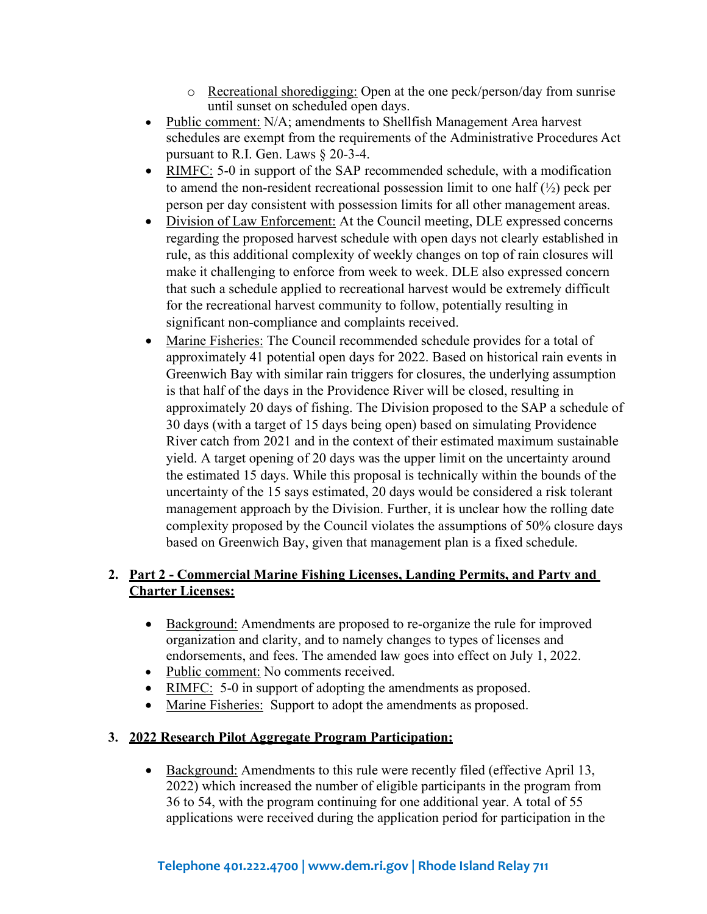- o Recreational shoredigging: Open at the one peck/person/day from sunrise until sunset on scheduled open days.
- Public comment: N/A; amendments to Shellfish Management Area harvest schedules are exempt from the requirements of the Administrative Procedures Act pursuant to R.I. Gen. Laws § 20-3-4.
- RIMFC: 5-0 in support of the SAP recommended schedule, with a modification to amend the non-resident recreational possession limit to one half  $(\frac{1}{2})$  peck per person per day consistent with possession limits for all other management areas.
- Division of Law Enforcement: At the Council meeting, DLE expressed concerns regarding the proposed harvest schedule with open days not clearly established in rule, as this additional complexity of weekly changes on top of rain closures will make it challenging to enforce from week to week. DLE also expressed concern that such a schedule applied to recreational harvest would be extremely difficult for the recreational harvest community to follow, potentially resulting in significant non-compliance and complaints received.
- Marine Fisheries: The Council recommended schedule provides for a total of approximately 41 potential open days for 2022. Based on historical rain events in Greenwich Bay with similar rain triggers for closures, the underlying assumption is that half of the days in the Providence River will be closed, resulting in approximately 20 days of fishing. The Division proposed to the SAP a schedule of 30 days (with a target of 15 days being open) based on simulating Providence River catch from 2021 and in the context of their estimated maximum sustainable yield. A target opening of 20 days was the upper limit on the uncertainty around the estimated 15 days. While this proposal is technically within the bounds of the uncertainty of the 15 says estimated, 20 days would be considered a risk tolerant management approach by the Division. Further, it is unclear how the rolling date complexity proposed by the Council violates the assumptions of 50% closure days based on Greenwich Bay, given that management plan is a fixed schedule.

# **2. Part 2 - Commercial Marine Fishing Licenses, Landing Permits, and Party and Charter Licenses:**

- Background: Amendments are proposed to re-organize the rule for improved organization and clarity, and to namely changes to types of licenses and endorsements, and fees. The amended law goes into effect on July 1, 2022.
- Public comment: No comments received.
- RIMFC: 5-0 in support of adopting the amendments as proposed.
- Marine Fisheries: Support to adopt the amendments as proposed.

# **3. 2022 Research Pilot Aggregate Program Participation:**

• Background: Amendments to this rule were recently filed (effective April 13, 2022) which increased the number of eligible participants in the program from 36 to 54, with the program continuing for one additional year. A total of 55 applications were received during the application period for participation in the